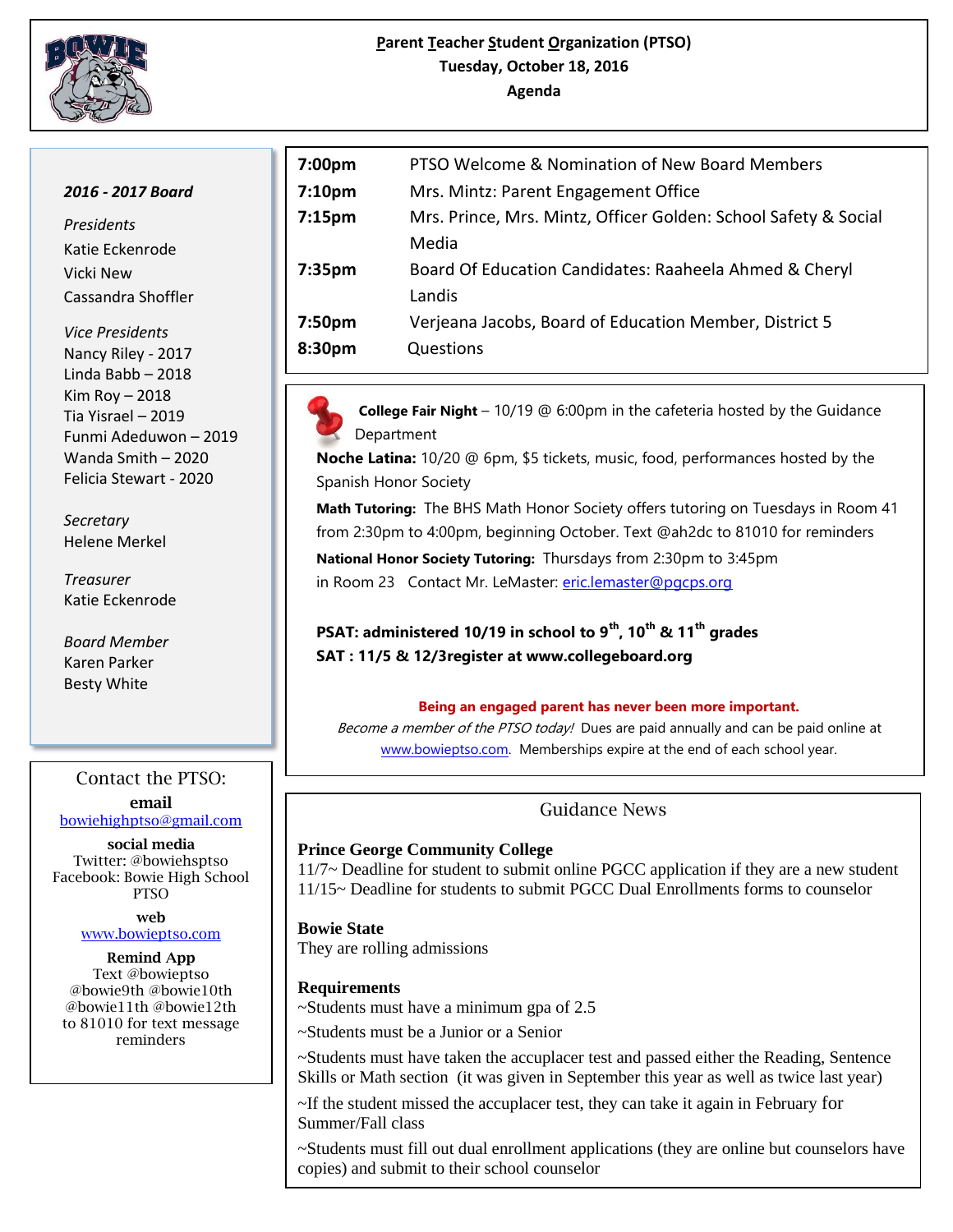

## **Parent Teacher Student Organization (PTSO) Tuesday, October 18, 2016 Agenda**

### *2016 - 2017 Board*

*Presidents* Katie Eckenrode Vicki New Cassandra Shoffler

*Vice Presidents* Nancy Riley - 2017 Linda Babb – 2018 Kim Roy – 2018 Tia Yisrael – 2019 Funmi Adeduwon – 2019 Wanda Smith – 2020 Felicia Stewart - 2020

*Secretary*  Helene Merkel

*Treasurer*  Katie Eckenrode

*Board Member* Karen Parker Besty White

# Contact the PTSO:

**email** [bowiehighptso@gmail.com](mailto:bowiehighptso@gmail.com)

**social media** Twitter: @bowiehsptso Facebook: Bowie High School PTSO

> **web**  [www.bowieptso.com](http://www.bowieptso.com/)

**Remind App** Text @bowieptso @bowie9th @bowie10th @bowie11th @bowie12th to 81010 for text message reminders

| 7:00pm             | PTSO Welcome & Nomination of New Board Members                  |
|--------------------|-----------------------------------------------------------------|
| 7:10 <sub>pm</sub> | Mrs. Mintz: Parent Engagement Office                            |
| 7:15 <sub>pm</sub> | Mrs. Prince, Mrs. Mintz, Officer Golden: School Safety & Social |
|                    | Media                                                           |
| 7:35pm             | Board Of Education Candidates: Raaheela Ahmed & Cheryl          |
|                    | Landis                                                          |
| 7:50pm             | Verjeana Jacobs, Board of Education Member, District 5          |
| 8:30pm             | Questions                                                       |
|                    |                                                                 |

 **College Fair Night** – 10/19 @ 6:00pm in the cafeteria hosted by the Guidance Department

**Noche Latina:** 10/20 @ 6pm, \$5 tickets, music, food, performances hosted by the Spanish Honor Society

**Math Tutoring:** The BHS Math Honor Society offers tutoring on Tuesdays in Room 41 from 2:30pm to 4:00pm, beginning October. Text @ah2dc to 81010 for reminders

**National Honor Society Tutoring:** Thursdays from 2:30pm to 3:45pm in Room 23 Contact Mr. LeMaster: [eric.lemaster@pgcps.org](mailto:eric.lemaster@pgcps.org)

**PSAT: administered 10/19 in school to 9th, 10th & 11th grades SAT : 11/5 & 12/3register at www.collegeboard.org**

#### **Being an engaged parent has never been more important.**

Become a member of the PTSO today! Dues are paid annually and can be paid online at [www.bowieptso.com.](http://www.bowieptso.com/) Memberships expire at the end of each school year.

## Guidance News

## **Prince George Community College**

11/7~ Deadline for student to submit online PGCC application if they are a new student 11/15~ Deadline for students to submit PGCC Dual Enrollments forms to counselor

**Bowie State** They are rolling admissions

## **Requirements**

~Students must have a minimum gpa of 2.5

~Students must be a Junior or a Senior

~Students must have taken the accuplacer test and passed either the Reading, Sentence Skills or Math section (it was given in September this year as well as twice last year)

~If the student missed the accuplacer test, they can take it again in February for Summer/Fall class

~Students must fill out dual enrollment applications (they are online but counselors have copies) and submit to their school counselor